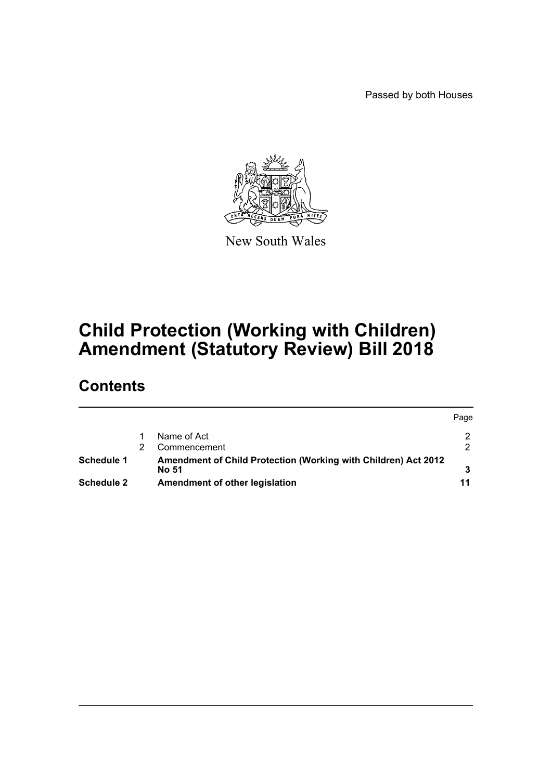Passed by both Houses

 $P^2$ 



New South Wales

# **Child Protection (Working with Children) Amendment (Statutory Review) Bill 2018**

# **Contents**

|            |  |                                                                         | Page |
|------------|--|-------------------------------------------------------------------------|------|
|            |  | Name of Act                                                             |      |
|            |  | Commencement                                                            |      |
| Schedule 1 |  | Amendment of Child Protection (Working with Children) Act 2012<br>No 51 |      |
| Schedule 2 |  | Amendment of other legislation                                          | 11   |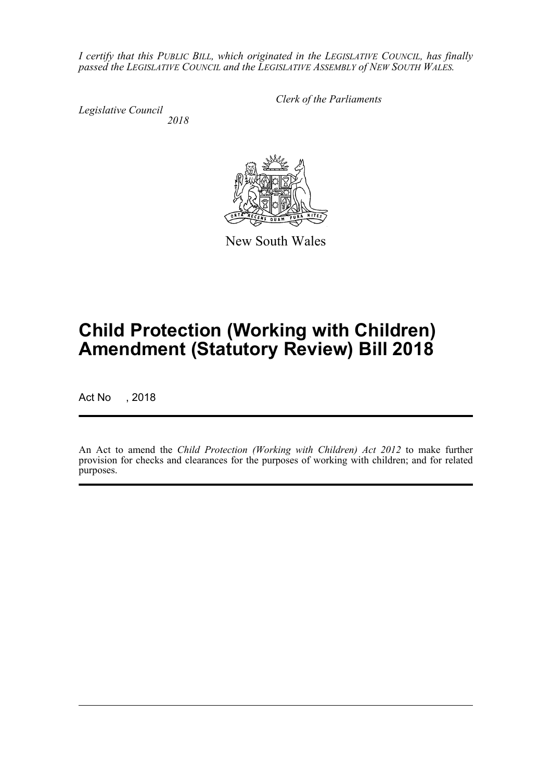*I certify that this PUBLIC BILL, which originated in the LEGISLATIVE COUNCIL, has finally passed the LEGISLATIVE COUNCIL and the LEGISLATIVE ASSEMBLY of NEW SOUTH WALES.*

*Legislative Council 2018* *Clerk of the Parliaments*



New South Wales

# **Child Protection (Working with Children) Amendment (Statutory Review) Bill 2018**

Act No , 2018

An Act to amend the *Child Protection (Working with Children) Act 2012* to make further provision for checks and clearances for the purposes of working with children; and for related purposes.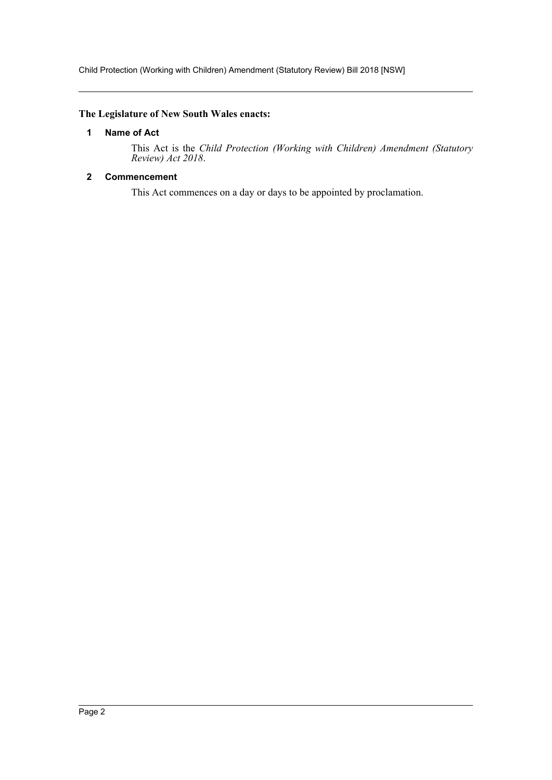Child Protection (Working with Children) Amendment (Statutory Review) Bill 2018 [NSW]

# <span id="page-2-0"></span>**The Legislature of New South Wales enacts:**

### **1 Name of Act**

This Act is the *Child Protection (Working with Children) Amendment (Statutory Review) Act 2018*.

# <span id="page-2-1"></span>**2 Commencement**

This Act commences on a day or days to be appointed by proclamation.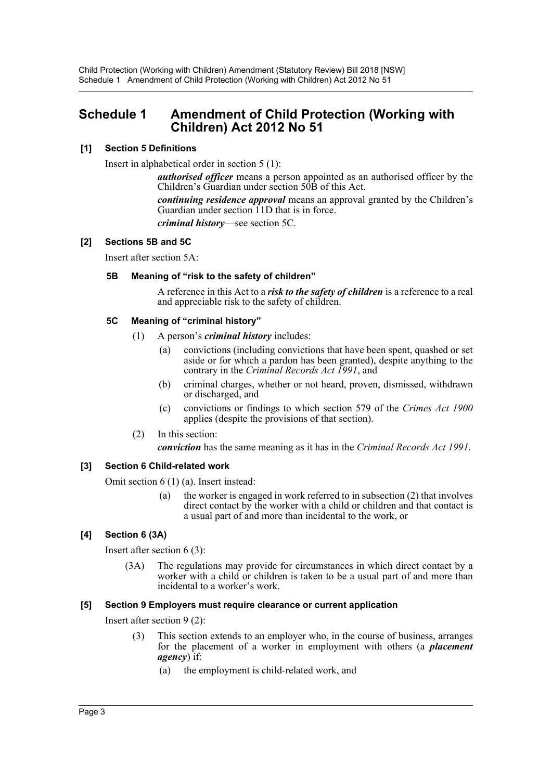# <span id="page-3-0"></span>**Schedule 1 Amendment of Child Protection (Working with Children) Act 2012 No 51**

# **[1] Section 5 Definitions**

Insert in alphabetical order in section 5 (1):

*authorised officer* means a person appointed as an authorised officer by the Children's Guardian under section 50B of this Act.

*continuing residence approval* means an approval granted by the Children's Guardian under section 11D that is in force.

*criminal history*—see section 5C.

# **[2] Sections 5B and 5C**

Insert after section 5A:

# **5B Meaning of "risk to the safety of children"**

A reference in this Act to a *risk to the safety of children* is a reference to a real and appreciable risk to the safety of children.

# **5C Meaning of "criminal history"**

- (1) A person's *criminal history* includes:
	- (a) convictions (including convictions that have been spent, quashed or set aside or for which a pardon has been granted), despite anything to the contrary in the *Criminal Records Act 1991*, and
	- (b) criminal charges, whether or not heard, proven, dismissed, withdrawn or discharged, and
	- (c) convictions or findings to which section 579 of the *Crimes Act 1900* applies (despite the provisions of that section).
- (2) In this section:

*conviction* has the same meaning as it has in the *Criminal Records Act 1991*.

# **[3] Section 6 Child-related work**

Omit section 6 (1) (a). Insert instead:

(a) the worker is engaged in work referred to in subsection  $(2)$  that involves direct contact by the worker with a child or children and that contact is a usual part of and more than incidental to the work, or

# **[4] Section 6 (3A)**

Insert after section 6 (3):

(3A) The regulations may provide for circumstances in which direct contact by a worker with a child or children is taken to be a usual part of and more than incidental to a worker's work.

#### **[5] Section 9 Employers must require clearance or current application**

Insert after section 9 (2):

- (3) This section extends to an employer who, in the course of business, arranges for the placement of a worker in employment with others (a *placement agency*) if:
	- (a) the employment is child-related work, and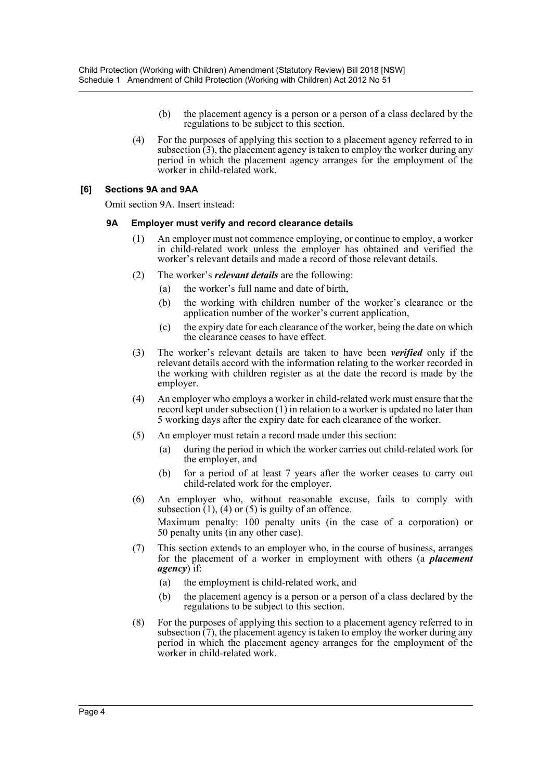- (b) the placement agency is a person or a person of a class declared by the regulations to be subject to this section.
- (4) For the purposes of applying this section to a placement agency referred to in subsection (3), the placement agency is taken to employ the worker during any period in which the placement agency arranges for the employment of the worker in child-related work.

### **[6] Sections 9A and 9AA**

Omit section 9A. Insert instead:

#### **9A Employer must verify and record clearance details**

- (1) An employer must not commence employing, or continue to employ, a worker in child-related work unless the employer has obtained and verified the worker's relevant details and made a record of those relevant details.
- (2) The worker's *relevant details* are the following:
	- (a) the worker's full name and date of birth,
	- (b) the working with children number of the worker's clearance or the application number of the worker's current application,
	- (c) the expiry date for each clearance of the worker, being the date on which the clearance ceases to have effect.
- (3) The worker's relevant details are taken to have been *verified* only if the relevant details accord with the information relating to the worker recorded in the working with children register as at the date the record is made by the employer.
- (4) An employer who employs a worker in child-related work must ensure that the record kept under subsection (1) in relation to a worker is updated no later than 5 working days after the expiry date for each clearance of the worker.
- (5) An employer must retain a record made under this section:
	- (a) during the period in which the worker carries out child-related work for the employer, and
	- (b) for a period of at least 7 years after the worker ceases to carry out child-related work for the employer.
- (6) An employer who, without reasonable excuse, fails to comply with subsection  $(1)$ ,  $(4)$  or  $(5)$  is guilty of an offence. Maximum penalty: 100 penalty units (in the case of a corporation) or 50 penalty units (in any other case).
- (7) This section extends to an employer who, in the course of business, arranges for the placement of a worker in employment with others (a *placement agency*) if:
	- (a) the employment is child-related work, and
	- (b) the placement agency is a person or a person of a class declared by the regulations to be subject to this section.
- (8) For the purposes of applying this section to a placement agency referred to in subsection (7), the placement agency is taken to employ the worker during any period in which the placement agency arranges for the employment of the worker in child-related work.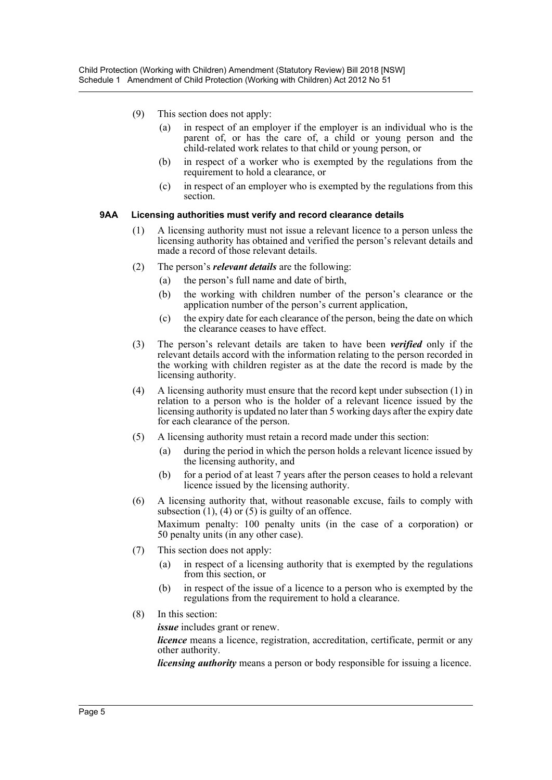- (9) This section does not apply:
	- (a) in respect of an employer if the employer is an individual who is the parent of, or has the care of, a child or young person and the child-related work relates to that child or young person, or
	- (b) in respect of a worker who is exempted by the regulations from the requirement to hold a clearance, or
	- (c) in respect of an employer who is exempted by the regulations from this section.

#### **9AA Licensing authorities must verify and record clearance details**

- (1) A licensing authority must not issue a relevant licence to a person unless the licensing authority has obtained and verified the person's relevant details and made a record of those relevant details.
- (2) The person's *relevant details* are the following:
	- (a) the person's full name and date of birth,
	- (b) the working with children number of the person's clearance or the application number of the person's current application,
	- (c) the expiry date for each clearance of the person, being the date on which the clearance ceases to have effect.
- (3) The person's relevant details are taken to have been *verified* only if the relevant details accord with the information relating to the person recorded in the working with children register as at the date the record is made by the licensing authority.
- (4) A licensing authority must ensure that the record kept under subsection (1) in relation to a person who is the holder of a relevant licence issued by the licensing authority is updated no later than 5 working days after the expiry date for each clearance of the person.
- (5) A licensing authority must retain a record made under this section:
	- (a) during the period in which the person holds a relevant licence issued by the licensing authority, and
	- (b) for a period of at least 7 years after the person ceases to hold a relevant licence issued by the licensing authority.
- (6) A licensing authority that, without reasonable excuse, fails to comply with subsection  $(1)$ ,  $(4)$  or  $(5)$  is guilty of an offence. Maximum penalty: 100 penalty units (in the case of a corporation) or 50 penalty units (in any other case).
- (7) This section does not apply:
	- (a) in respect of a licensing authority that is exempted by the regulations from this section, or
	- (b) in respect of the issue of a licence to a person who is exempted by the regulations from the requirement to hold a clearance.
- (8) In this section:

*issue* includes grant or renew.

*licence* means a licence, registration, accreditation, certificate, permit or any other authority.

*licensing authority* means a person or body responsible for issuing a licence.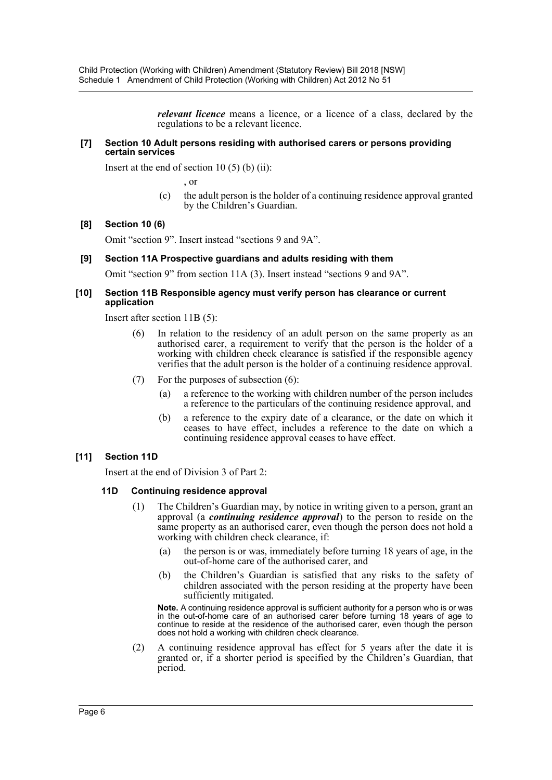*relevant licence* means a licence, or a licence of a class, declared by the regulations to be a relevant licence.

#### **[7] Section 10 Adult persons residing with authorised carers or persons providing certain services**

Insert at the end of section 10  $(5)$  (b)  $(ii)$ :

, or

(c) the adult person is the holder of a continuing residence approval granted by the Children's Guardian.

#### **[8] Section 10 (6)**

Omit "section 9". Insert instead "sections 9 and 9A".

#### **[9] Section 11A Prospective guardians and adults residing with them**

Omit "section 9" from section 11A (3). Insert instead "sections 9 and 9A".

#### **[10] Section 11B Responsible agency must verify person has clearance or current application**

Insert after section 11B (5):

- (6) In relation to the residency of an adult person on the same property as an authorised carer, a requirement to verify that the person is the holder of a working with children check clearance is satisfied if the responsible agency verifies that the adult person is the holder of a continuing residence approval.
- (7) For the purposes of subsection (6):
	- (a) a reference to the working with children number of the person includes a reference to the particulars of the continuing residence approval, and
	- (b) a reference to the expiry date of a clearance, or the date on which it ceases to have effect, includes a reference to the date on which a continuing residence approval ceases to have effect.

#### **[11] Section 11D**

Insert at the end of Division 3 of Part 2:

#### **11D Continuing residence approval**

- (1) The Children's Guardian may, by notice in writing given to a person, grant an approval (a *continuing residence approval*) to the person to reside on the same property as an authorised carer, even though the person does not hold a working with children check clearance, if:
	- (a) the person is or was, immediately before turning 18 years of age, in the out-of-home care of the authorised carer, and
	- (b) the Children's Guardian is satisfied that any risks to the safety of children associated with the person residing at the property have been sufficiently mitigated.

**Note.** A continuing residence approval is sufficient authority for a person who is or was in the out-of-home care of an authorised carer before turning 18 years of age to continue to reside at the residence of the authorised carer, even though the person does not hold a working with children check clearance.

(2) A continuing residence approval has effect for 5 years after the date it is granted or, if a shorter period is specified by the Children's Guardian, that period.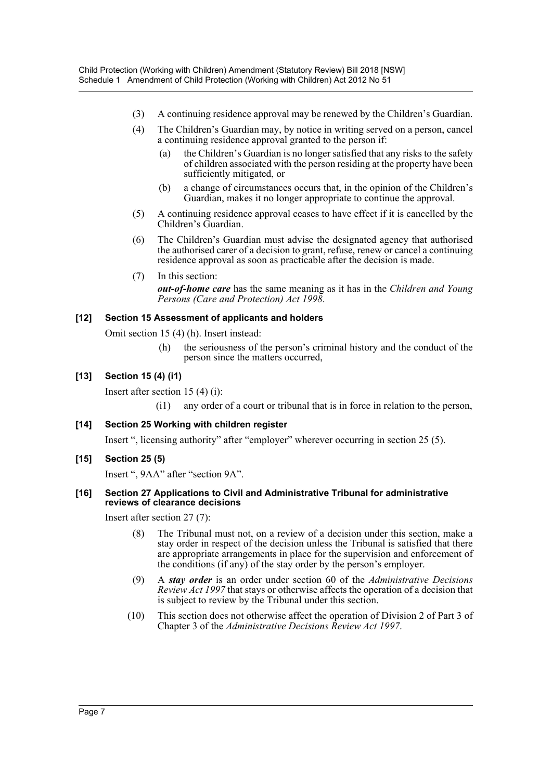- (3) A continuing residence approval may be renewed by the Children's Guardian.
- (4) The Children's Guardian may, by notice in writing served on a person, cancel a continuing residence approval granted to the person if:
	- (a) the Children's Guardian is no longer satisfied that any risks to the safety of children associated with the person residing at the property have been sufficiently mitigated, or
	- (b) a change of circumstances occurs that, in the opinion of the Children's Guardian, makes it no longer appropriate to continue the approval.
- (5) A continuing residence approval ceases to have effect if it is cancelled by the Children's Guardian.
- (6) The Children's Guardian must advise the designated agency that authorised the authorised carer of a decision to grant, refuse, renew or cancel a continuing residence approval as soon as practicable after the decision is made.
- (7) In this section:

*out-of-home care* has the same meaning as it has in the *Children and Young Persons (Care and Protection) Act 1998*.

# **[12] Section 15 Assessment of applicants and holders**

Omit section 15 (4) (h). Insert instead:

(h) the seriousness of the person's criminal history and the conduct of the person since the matters occurred,

# **[13] Section 15 (4) (i1)**

Insert after section 15 (4) (i):

- (i1) any order of a court or tribunal that is in force in relation to the person,
- **[14] Section 25 Working with children register**

Insert ", licensing authority" after "employer" wherever occurring in section 25 (5).

**[15] Section 25 (5)**

Insert ", 9AA" after "section 9A".

#### **[16] Section 27 Applications to Civil and Administrative Tribunal for administrative reviews of clearance decisions**

Insert after section 27 (7):

- (8) The Tribunal must not, on a review of a decision under this section, make a stay order in respect of the decision unless the Tribunal is satisfied that there are appropriate arrangements in place for the supervision and enforcement of the conditions (if any) of the stay order by the person's employer.
- (9) A *stay order* is an order under section 60 of the *Administrative Decisions Review Act 1997* that stays or otherwise affects the operation of a decision that is subject to review by the Tribunal under this section.
- (10) This section does not otherwise affect the operation of Division 2 of Part 3 of Chapter 3 of the *Administrative Decisions Review Act 1997*.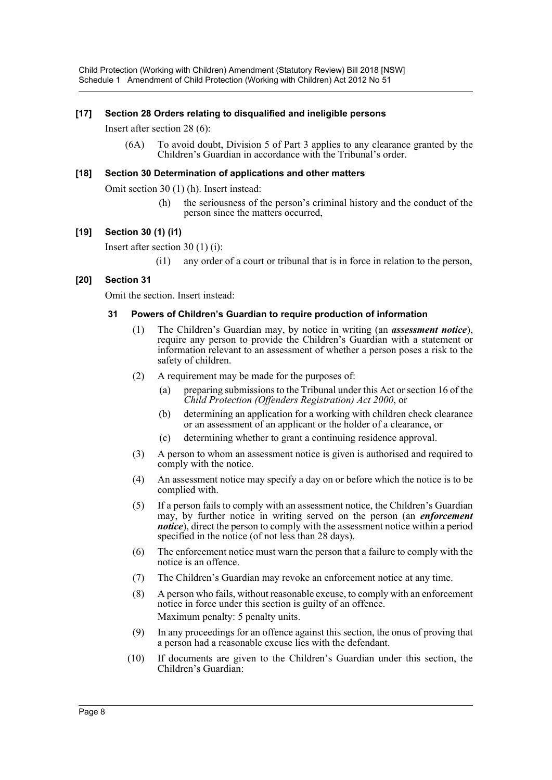Child Protection (Working with Children) Amendment (Statutory Review) Bill 2018 [NSW] Schedule 1 Amendment of Child Protection (Working with Children) Act 2012 No 51

#### **[17] Section 28 Orders relating to disqualified and ineligible persons**

Insert after section 28 (6):

(6A) To avoid doubt, Division 5 of Part 3 applies to any clearance granted by the Children's Guardian in accordance with the Tribunal's order.

#### **[18] Section 30 Determination of applications and other matters**

Omit section 30 (1) (h). Insert instead:

(h) the seriousness of the person's criminal history and the conduct of the person since the matters occurred,

#### **[19] Section 30 (1) (i1)**

Insert after section 30 (1) (i):

(i1) any order of a court or tribunal that is in force in relation to the person,

#### **[20] Section 31**

Omit the section. Insert instead:

#### **31 Powers of Children's Guardian to require production of information**

- (1) The Children's Guardian may, by notice in writing (an *assessment notice*), require any person to provide the Children's Guardian with a statement or information relevant to an assessment of whether a person poses a risk to the safety of children.
- (2) A requirement may be made for the purposes of:
	- (a) preparing submissions to the Tribunal under this Act or section 16 of the *Child Protection (Offenders Registration) Act 2000*, or
	- (b) determining an application for a working with children check clearance or an assessment of an applicant or the holder of a clearance, or
	- (c) determining whether to grant a continuing residence approval.
- (3) A person to whom an assessment notice is given is authorised and required to comply with the notice.
- (4) An assessment notice may specify a day on or before which the notice is to be complied with.
- (5) If a person fails to comply with an assessment notice, the Children's Guardian may, by further notice in writing served on the person (an *enforcement notice*), direct the person to comply with the assessment notice within a period specified in the notice (of not less than 28 days).
- (6) The enforcement notice must warn the person that a failure to comply with the notice is an offence.
- (7) The Children's Guardian may revoke an enforcement notice at any time.
- (8) A person who fails, without reasonable excuse, to comply with an enforcement notice in force under this section is guilty of an offence. Maximum penalty: 5 penalty units.
- (9) In any proceedings for an offence against this section, the onus of proving that a person had a reasonable excuse lies with the defendant.
- (10) If documents are given to the Children's Guardian under this section, the Children's Guardian: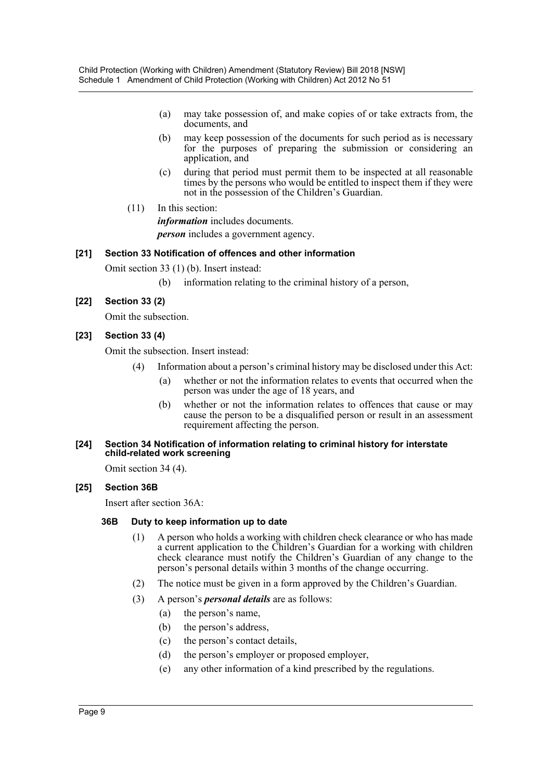- (a) may take possession of, and make copies of or take extracts from, the documents, and
- (b) may keep possession of the documents for such period as is necessary for the purposes of preparing the submission or considering an application, and
- (c) during that period must permit them to be inspected at all reasonable times by the persons who would be entitled to inspect them if they were not in the possession of the Children's Guardian.
- (11) In this section:

*information* includes documents. *person* includes a government agency.

# **[21] Section 33 Notification of offences and other information**

Omit section 33 (1) (b). Insert instead:

(b) information relating to the criminal history of a person,

# **[22] Section 33 (2)**

Omit the subsection.

# **[23] Section 33 (4)**

Omit the subsection. Insert instead:

- (4) Information about a person's criminal history may be disclosed under this Act:
	- (a) whether or not the information relates to events that occurred when the person was under the age of 18 years, and
	- (b) whether or not the information relates to offences that cause or may cause the person to be a disqualified person or result in an assessment requirement affecting the person.

#### **[24] Section 34 Notification of information relating to criminal history for interstate child-related work screening**

Omit section 34 (4).

# **[25] Section 36B**

Insert after section 36A:

#### **36B Duty to keep information up to date**

- (1) A person who holds a working with children check clearance or who has made a current application to the Children's Guardian for a working with children check clearance must notify the Children's Guardian of any change to the person's personal details within 3 months of the change occurring.
- (2) The notice must be given in a form approved by the Children's Guardian.
- (3) A person's *personal details* are as follows:
	- (a) the person's name,
	- (b) the person's address,
	- (c) the person's contact details,
	- (d) the person's employer or proposed employer,
	- (e) any other information of a kind prescribed by the regulations.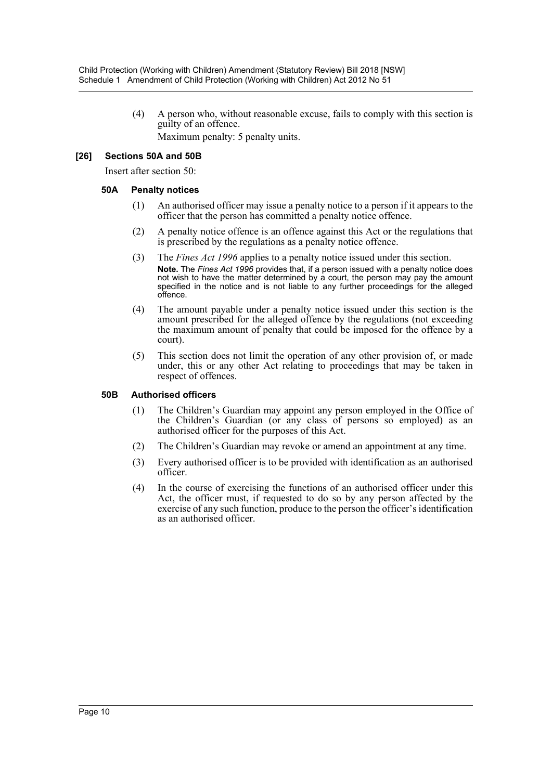(4) A person who, without reasonable excuse, fails to comply with this section is guilty of an offence.

Maximum penalty: 5 penalty units.

# **[26] Sections 50A and 50B**

Insert after section 50:

# **50A Penalty notices**

- (1) An authorised officer may issue a penalty notice to a person if it appears to the officer that the person has committed a penalty notice offence.
- (2) A penalty notice offence is an offence against this Act or the regulations that is prescribed by the regulations as a penalty notice offence.
- (3) The *Fines Act 1996* applies to a penalty notice issued under this section. **Note.** The *Fines Act 1996* provides that, if a person issued with a penalty notice does not wish to have the matter determined by a court, the person may pay the amount specified in the notice and is not liable to any further proceedings for the alleged offence.
- (4) The amount payable under a penalty notice issued under this section is the amount prescribed for the alleged offence by the regulations (not exceeding the maximum amount of penalty that could be imposed for the offence by a court).
- (5) This section does not limit the operation of any other provision of, or made under, this or any other Act relating to proceedings that may be taken in respect of offences.

# **50B Authorised officers**

- (1) The Children's Guardian may appoint any person employed in the Office of the Children's Guardian (or any class of persons so employed) as an authorised officer for the purposes of this Act.
- (2) The Children's Guardian may revoke or amend an appointment at any time.
- (3) Every authorised officer is to be provided with identification as an authorised officer.
- (4) In the course of exercising the functions of an authorised officer under this Act, the officer must, if requested to do so by any person affected by the exercise of any such function, produce to the person the officer's identification as an authorised officer.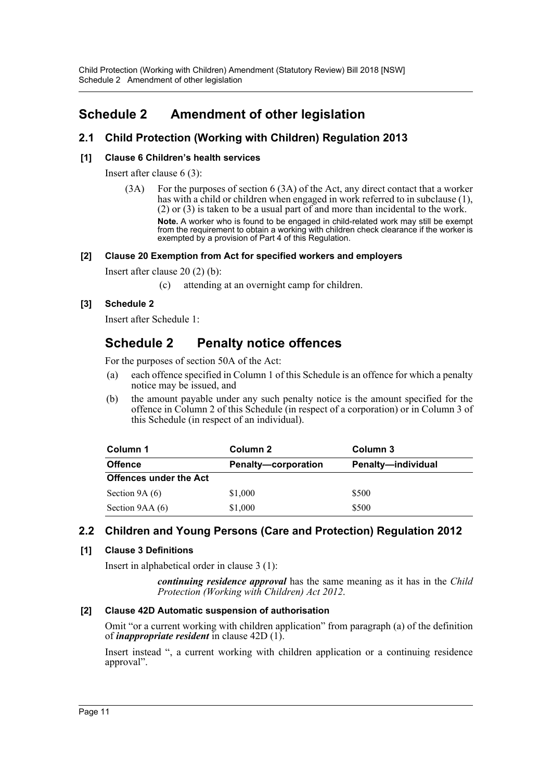Child Protection (Working with Children) Amendment (Statutory Review) Bill 2018 [NSW] Schedule 2 Amendment of other legislation

# <span id="page-11-0"></span>**Schedule 2 Amendment of other legislation**

# **2.1 Child Protection (Working with Children) Regulation 2013**

# **[1] Clause 6 Children's health services**

Insert after clause 6 (3):

(3A) For the purposes of section 6 (3A) of the Act, any direct contact that a worker has with a child or children when engaged in work referred to in subclause (1), (2) or (3) is taken to be a usual part of and more than incidental to the work.

**Note.** A worker who is found to be engaged in child-related work may still be exempt from the requirement to obtain a working with children check clearance if the worker is exempted by a provision of Part 4 of this Regulation.

# **[2] Clause 20 Exemption from Act for specified workers and employers**

Insert after clause 20 (2) (b):

(c) attending at an overnight camp for children.

# **[3] Schedule 2**

Insert after Schedule 1:

# **Schedule 2 Penalty notice offences**

For the purposes of section 50A of the Act:

- (a) each offence specified in Column 1 of this Schedule is an offence for which a penalty notice may be issued, and
- (b) the amount payable under any such penalty notice is the amount specified for the offence in Column 2 of this Schedule (in respect of a corporation) or in Column 3 of this Schedule (in respect of an individual).

| Column 1                      | Column 2            | Column 3           |  |  |  |
|-------------------------------|---------------------|--------------------|--|--|--|
| <b>Offence</b>                | Penalty-corporation | Penalty-individual |  |  |  |
| <b>Offences under the Act</b> |                     |                    |  |  |  |
| Section $9A(6)$               | \$1,000             | \$500              |  |  |  |
| Section 9AA (6)               | \$1,000             | \$500              |  |  |  |

# **2.2 Children and Young Persons (Care and Protection) Regulation 2012**

# **[1] Clause 3 Definitions**

Insert in alphabetical order in clause 3 (1):

*continuing residence approval* has the same meaning as it has in the *Child Protection (Working with Children) Act 2012*.

# **[2] Clause 42D Automatic suspension of authorisation**

Omit "or a current working with children application" from paragraph (a) of the definition of *inappropriate resident* in clause 42D (1).

Insert instead ", a current working with children application or a continuing residence approval".